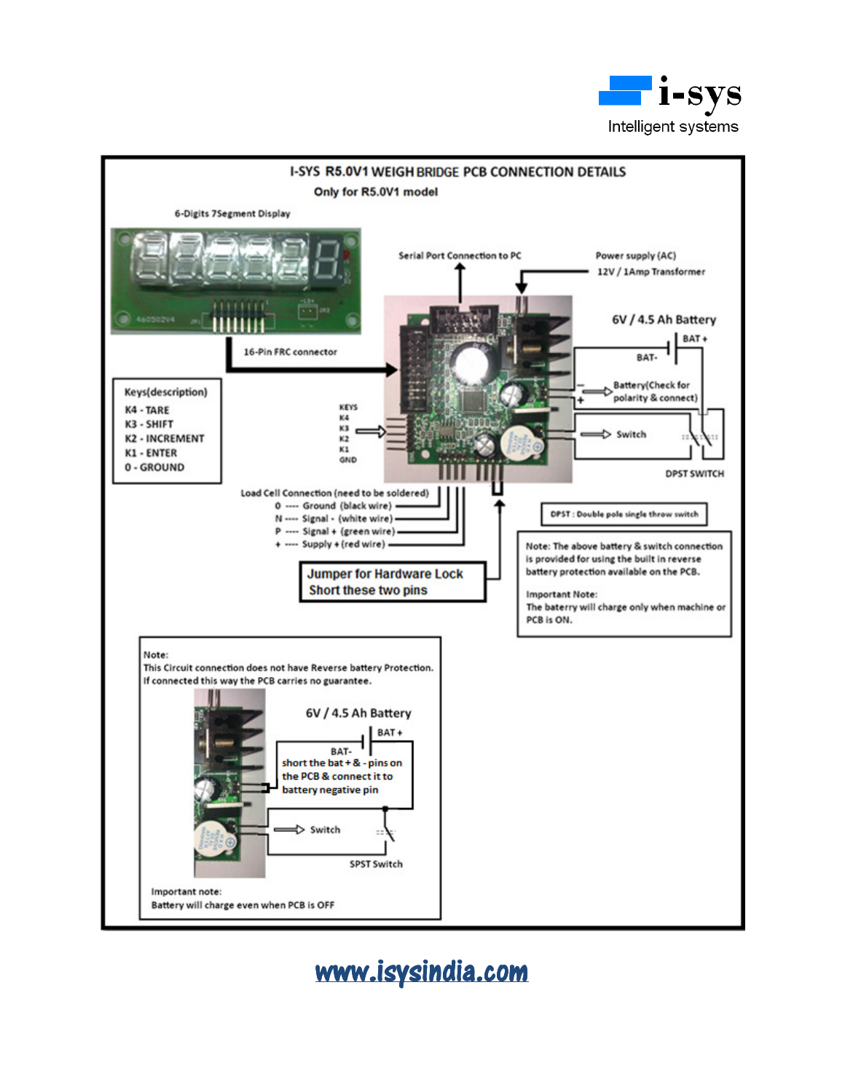



## www.isysindia.com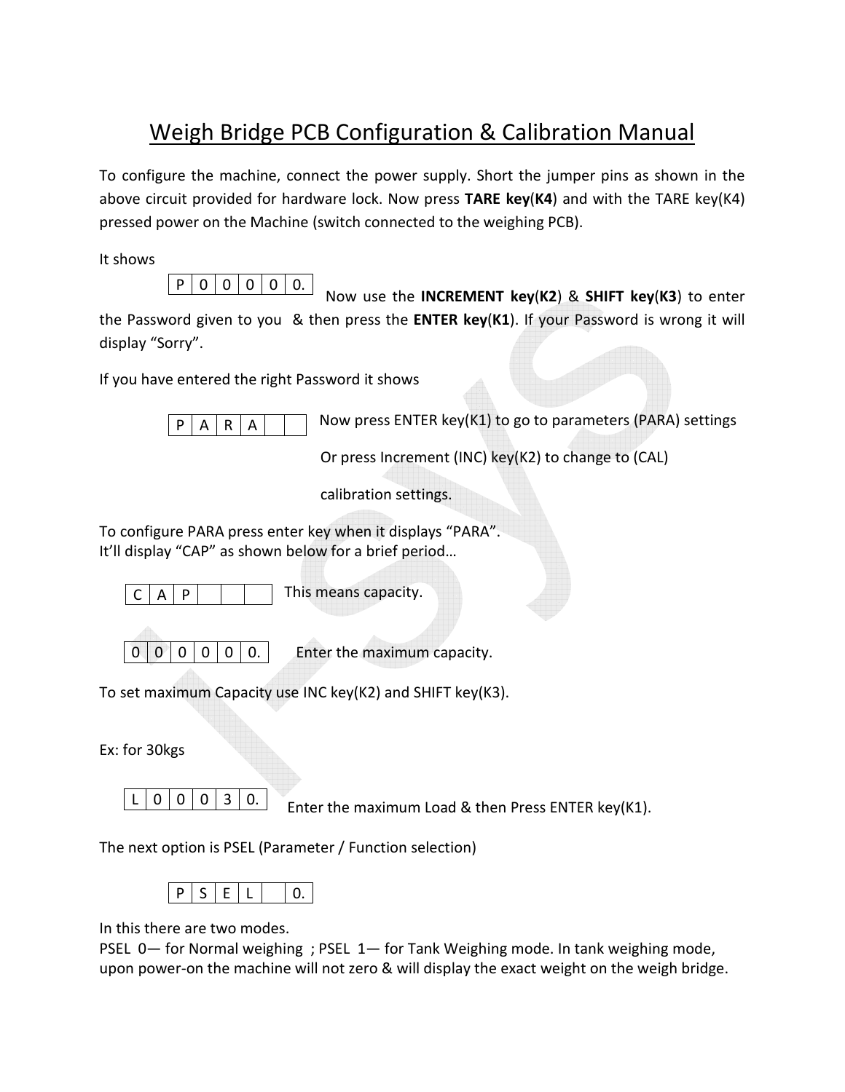## Weigh Bridge PCB Configuration & Calibration Manual

To configure the machine, connect the power supply. Short the jumper pins as shown in the above circuit provided for hardware lock. Now press **TARE key**(**K4**) and with the TARE key(K4) pressed power on the Machine (switch connected to the weighing PCB).

It shows



 Now use the **INCREMENT key**(**K2**) & **SHIFT key**(**K3**) to enter the Password given to you & then press the **ENTER key**(**K1**). If your Password is wrong it will display "Sorry".

If you have entered the right Password it shows



 $\overline{P|A|R|A|}$  Now press ENTER key(K1) to go to parameters (PARA) settings

Or press Increment (INC) key(K2) to change to (CAL)

calibration settings.

To configure PARA press enter key when it displays "PARA". It'll display "CAP" as shown below for a brief period…

 $C | A | P$ 

This means capacity.

| - |  |  |  |
|---|--|--|--|
|---|--|--|--|

Enter the maximum capacity.

To set maximum Capacity use INC key(K2) and SHIFT key(K3).

Ex: for 30kgs

 $L | 0 | 0 | 0 | 3 | 0.$ 

Enter the maximum Load & then Press ENTER key(K1).

The next option is PSEL (Parameter / Function selection)

|--|--|--|--|

In this there are two modes.

PSEL 0— for Normal weighing ; PSEL 1— for Tank Weighing mode. In tank weighing mode, upon power-on the machine will not zero & will display the exact weight on the weigh bridge.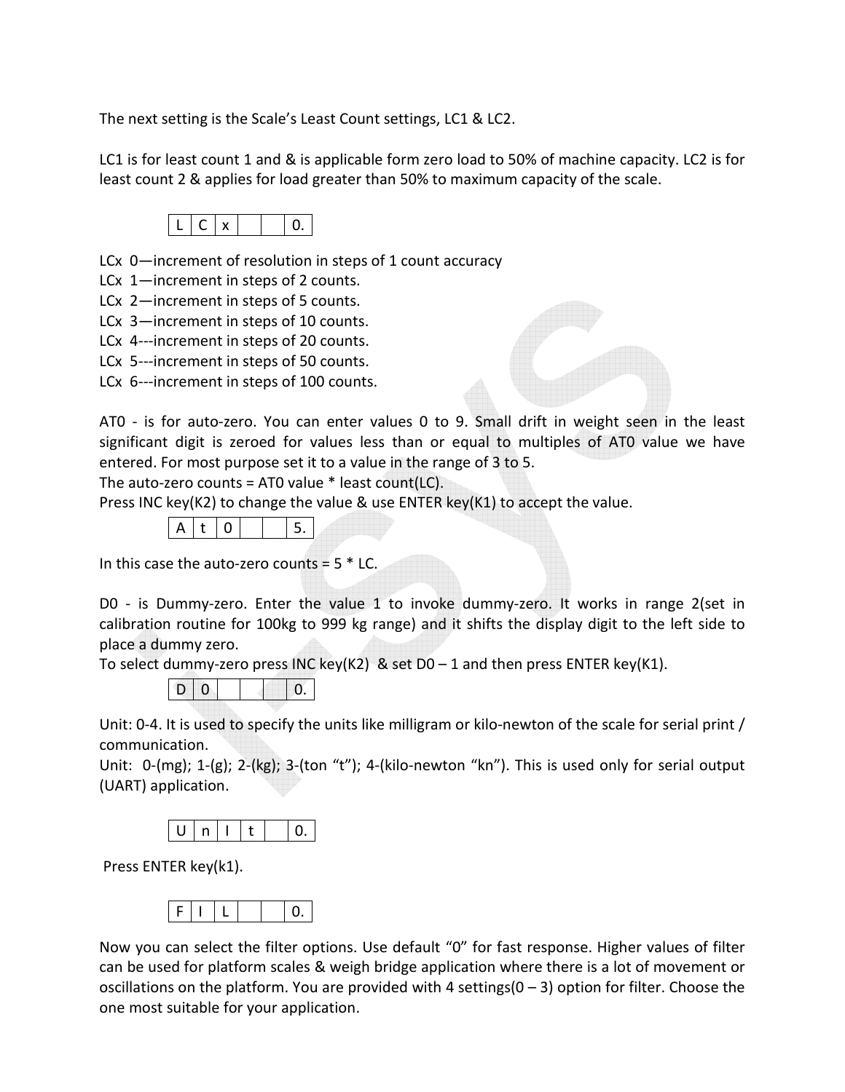The next setting is the Scale's Least Count settings, LC1 & LC2.

LC1 is for least count 1 and & is applicable form zero load to 50% of machine capacity. LC2 is for least count 2 & applies for load greater than 50% to maximum capacity of the scale.



LCx 0—increment of resolution in steps of 1 count accuracy

- LCx 1—increment in steps of 2 counts.
- LCx 2—increment in steps of 5 counts.
- LCx 3—increment in steps of 10 counts.
- LCx 4---increment in steps of 20 counts.
- LCx 5---increment in steps of 50 counts.
- LCx 6---increment in steps of 100 counts.



AT0 - is for auto-zero. You can enter values 0 to 9. Small drift in weight seen in the least significant digit is zeroed for values less than or equal to multiples of AT0 value we have entered. For most purpose set it to a value in the range of 3 to 5.

The auto-zero counts = AT0 value  $*$  least count(LC).

Press INC key(K2) to change the value & use ENTER key(K1) to accept the value.



In this case the auto-zero counts  $= 5 * LC$ .

D0 - is Dummy-zero. Enter the value 1 to invoke dummy-zero. It works in range 2(set in calibration routine for 100kg to 999 kg range) and it shifts the display digit to the left side to place a dummy zero.

To select dummy-zero press INC key(K2) & set  $D0 - 1$  and then press ENTER key(K1).

D 0 0.

Unit: 0-4. It is used to specify the units like milligram or kilo-newton of the scale for serial print / communication.

Unit: 0-(mg); 1-(g); 2-(kg); 3-(ton "t"); 4-(kilo-newton "kn"). This is used only for serial output (UART) application.



Press ENTER key(k1).



Now you can select the filter options. Use default "0" for fast response. Higher values of filter can be used for platform scales & weigh bridge application where there is a lot of movement or oscillations on the platform. You are provided with 4 settings(0 – 3) option for filter. Choose the one most suitable for your application.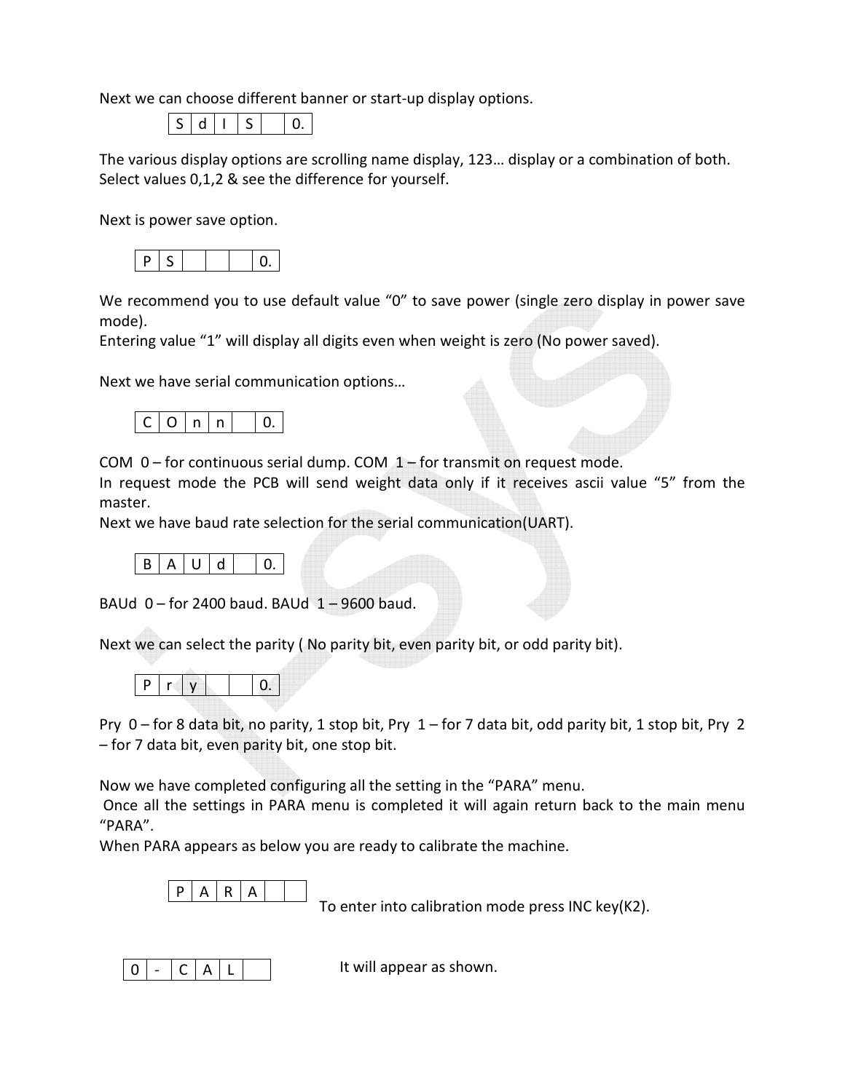Next we can choose different banner or start-up display options.

S d I S 0.

The various display options are scrolling name display, 123… display or a combination of both. Select values 0,1,2 & see the difference for yourself.

Next is power save option.



We recommend you to use default value "0" to save power (single zero display in power save mode).

Entering value "1" will display all digits even when weight is zero (No power saved).

Next we have serial communication options…



COM  $0$  – for continuous serial dump. COM  $1$  – for transmit on request mode.

In request mode the PCB will send weight data only if it receives ascii value "5" from the master.

Next we have baud rate selection for the serial communication(UART).

$$
B | A | U | d | | 0.
$$

BAUd 0 – for 2400 baud. BAUd 1 – 9600 baud.

Next we can select the parity ( No parity bit, even parity bit, or odd parity bit).

|--|--|--|--|

Pry 0 – for 8 data bit, no parity, 1 stop bit, Pry 1 – for 7 data bit, odd parity bit, 1 stop bit, Pry 2 – for 7 data bit, even parity bit, one stop bit.

Now we have completed configuring all the setting in the "PARA" menu.

 Once all the settings in PARA menu is completed it will again return back to the main menu "PARA".

When PARA appears as below you are ready to calibrate the machine.

$$
P | A | R | A |
$$

To enter into calibration mode press INC key(K2).



It will appear as shown.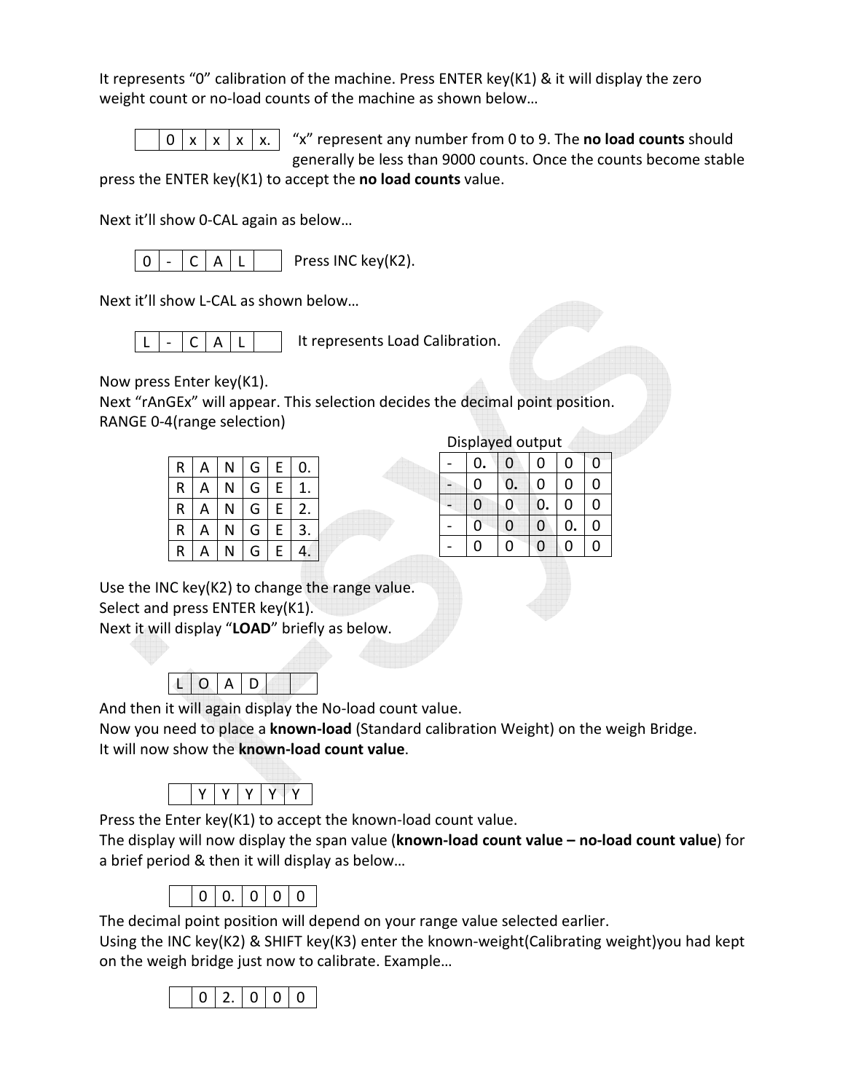It represents "0" calibration of the machine. Press ENTER key(K1) & it will display the zero weight count or no-load counts of the machine as shown below…

$$
0 \mid x \mid x \mid x \mid x.
$$

"x" represent any number from 0 to 9. The **no load counts** should generally be less than 9000 counts. Once the counts become stable

press the ENTER key(K1) to accept the **no load counts** value.

Next it'll show 0-CAL again as below…

Press INC key(K2).  $0$  -  $C$   $A$   $L$ 

Next it'll show L-CAL as shown below…

$$
L \mid - \mid C \mid A \mid L
$$
 It represents Load California.

Now press Enter key(K1).

Next "rAnGEx" will appear. This selection decides the decimal point position. RANGE 0-4(range selection)

| R                       | А | N | G | E           | 0.             |
|-------------------------|---|---|---|-------------|----------------|
| $\overline{\mathsf{R}}$ | Α | N | G | $\mathsf E$ | 1.             |
| $\overline{\mathsf{R}}$ | А | N | G | $\mathsf E$ | 2.             |
| R                       | А | N | G | E           | 3.             |
| R                       | A | N | G | E           | 4 <sup>°</sup> |

|   |                         |   |    |        |         |   | Displayed output |   |  |  |
|---|-------------------------|---|----|--------|---------|---|------------------|---|--|--|
| R | Α                       | N | G  | ⊢<br>ш |         | - | υ.               | U |  |  |
| R | А                       | N | u  | ►<br>┕ |         | - |                  |   |  |  |
| R | A                       | N | G  | ⊢<br>┗ | ۷.      | - |                  |   |  |  |
| R | $\overline{\mathsf{A}}$ | N | u  | ⊢<br>┗ | ◠<br>э. |   |                  |   |  |  |
| R | Ē                       |   | ٠٦ | -      | г.      | - |                  |   |  |  |

Use the INC key(K2) to change the range value. Select and press ENTER key(K1). Next it will display "**LOAD**" briefly as below. Ì

L O A D

And then it will again display the No-load count value.

Now you need to place a **known-load** (Standard calibration Weight) on the weigh Bridge. It will now show the **known-load count value**.



Press the Enter key(K1) to accept the known-load count value.

The display will now display the span value (**known-load count value – no-load count value**) for a brief period & then it will display as below…



The decimal point position will depend on your range value selected earlier.

Using the INC key(K2) & SHIFT key(K3) enter the known-weight(Calibrating weight)you had kept on the weigh bridge just now to calibrate. Example…

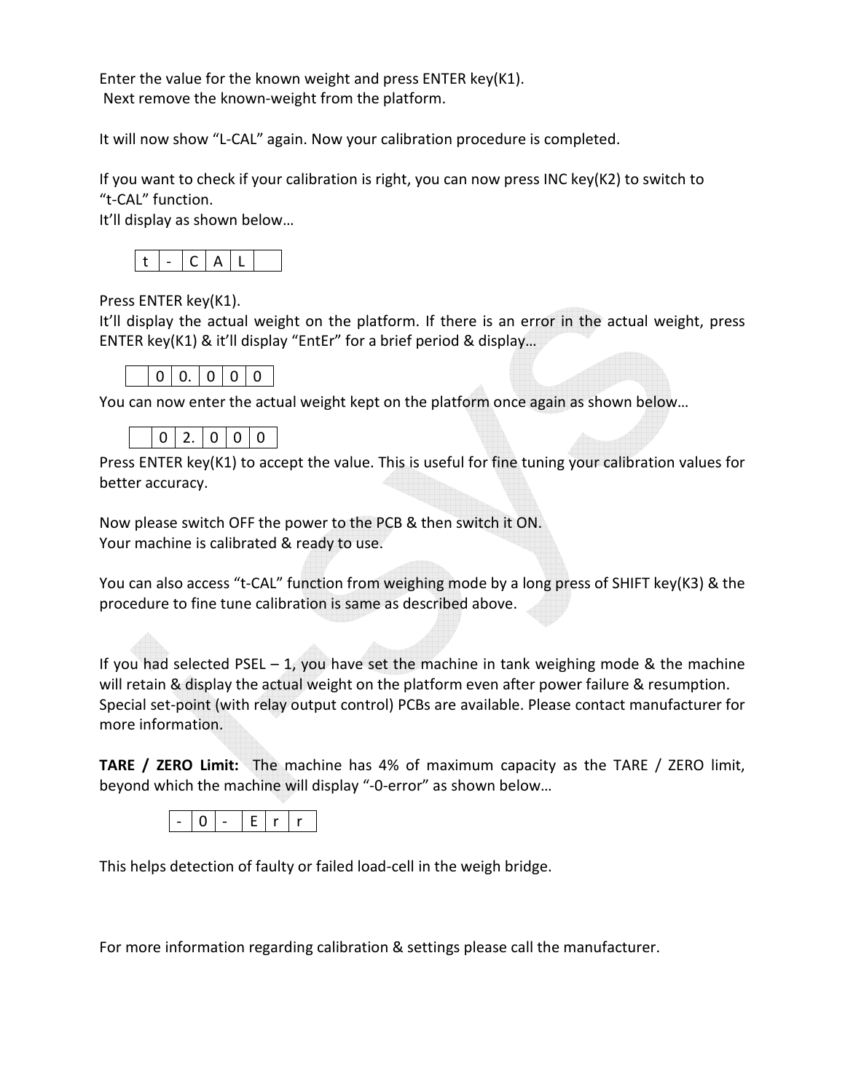Enter the value for the known weight and press ENTER key(K1). Next remove the known-weight from the platform.

It will now show "L-CAL" again. Now your calibration procedure is completed.

If you want to check if your calibration is right, you can now press INC key(K2) to switch to "t-CAL" function.

It'll display as shown below…



Press ENTER key(K1).

It'll display the actual weight on the platform. If there is an error in the actual weight, press ENTER key(K1) & it'll display "EntEr" for a brief period & display…

| $\cdot$ |
|---------|
|---------|

You can now enter the actual weight kept on the platform once again as shown below...

Press ENTER key(K1) to accept the value. This is useful for fine tuning your calibration values for better accuracy.

Now please switch OFF the power to the PCB & then switch it ON. Your machine is calibrated & ready to use.

You can also access "t-CAL" function from weighing mode by a long press of SHIFT key(K3) & the procedure to fine tune calibration is same as described above.

If you had selected PSEL – 1, you have set the machine in tank weighing mode & the machine will retain & display the actual weight on the platform even after power failure & resumption. Special set-point (with relay output control) PCBs are available. Please contact manufacturer for more information.

**TARE / ZERO Limit:** The machine has 4% of maximum capacity as the TARE / ZERO limit, beyond which the machine will display "-0-error" as shown below…



This helps detection of faulty or failed load-cell in the weigh bridge.

For more information regarding calibration & settings please call the manufacturer.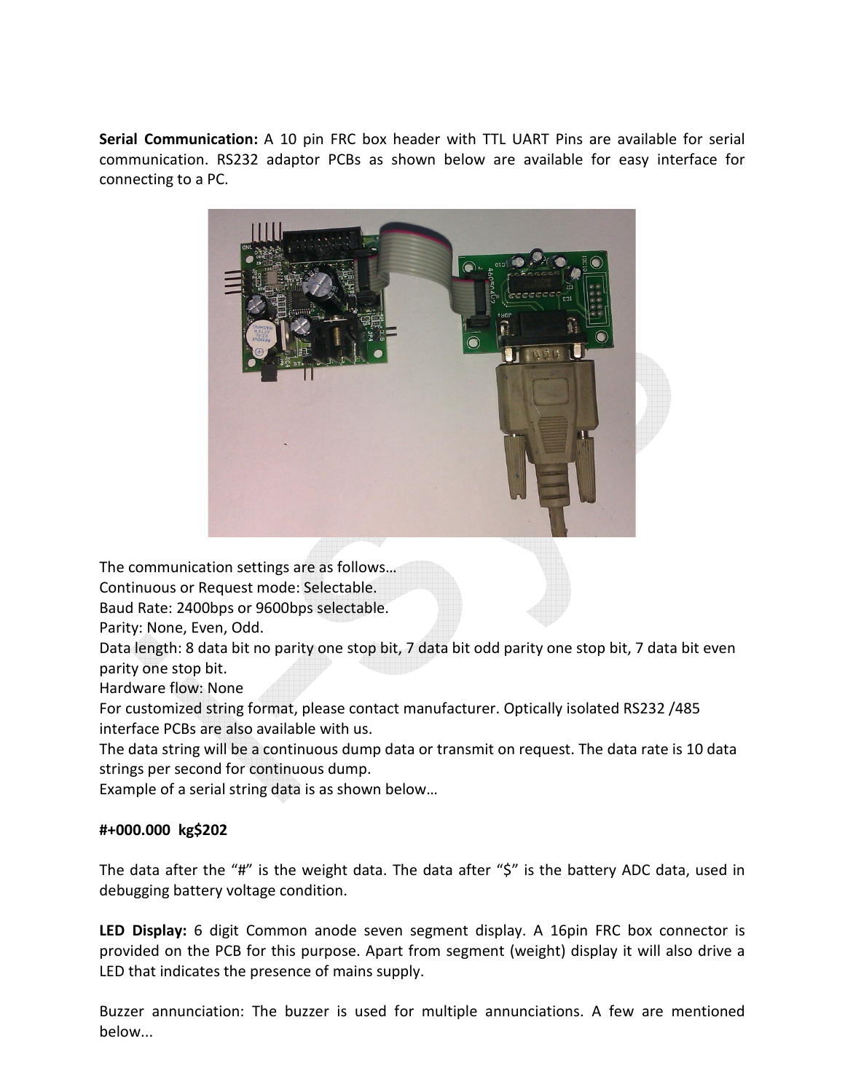**Serial Communication:** A 10 pin FRC box header with TTL UART Pins are available for serial communication. RS232 adaptor PCBs as shown below are available for easy interface for connecting to a PC.



The communication settings are as follows…

Continuous or Request mode: Selectable.

Baud Rate: 2400bps or 9600bps selectable.

Parity: None, Even, Odd.

Data length: 8 data bit no parity one stop bit, 7 data bit odd parity one stop bit, 7 data bit even parity one stop bit.

Hardware flow: None

For customized string format, please contact manufacturer. Optically isolated RS232 /485 interface PCBs are also available with us.

The data string will be a continuous dump data or transmit on request. The data rate is 10 data strings per second for continuous dump.

Example of a serial string data is as shown below…

## **#+000.000 kg\$202**

The data after the "#" is the weight data. The data after "\$" is the battery ADC data, used in debugging battery voltage condition.

**LED Display:** 6 digit Common anode seven segment display. A 16pin FRC box connector is provided on the PCB for this purpose. Apart from segment (weight) display it will also drive a LED that indicates the presence of mains supply.

Buzzer annunciation: The buzzer is used for multiple annunciations. A few are mentioned below...